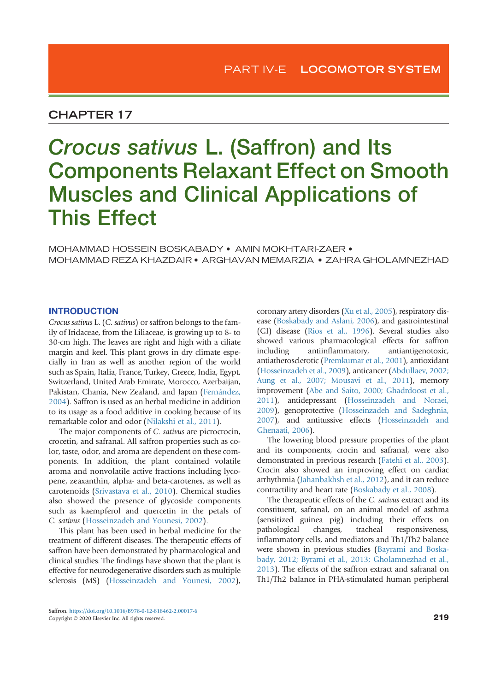# CHAPTER 17

# Crocus sativus L. (Saffron) and Its Components Relaxant Effect on Smooth Muscles and Clinical Applications of This Effect

MOHAMMAD HOSSEIN BOSKABADY • AMIN MOKHTARI-ZAER • MOHAMMAD REZA KHAZDAIR • ARGHAVAN MEMARZIA • ZAHRA GHOLAMNEZHAD

# INTRODUCTION

Crocus sativus L. (C. sativus) or saffron belongs to the family of Iridaceae, from the Liliaceae, is growing up to 8- to 30-cm high. The leaves are right and high with a ciliate margin and keel. This plant grows in dry climate especially in Iran as well as another region of the world such as Spain, Italia, France, Turkey, Greece, India, Egypt, Switzerland, United Arab Emirate, Morocco, Azerbaijan, Pakistan, Chania, New Zealand, and Japan (Fernández, 2004). Saffron is used as an herbal medicine in addition to its usage as a food additive in cooking because of its remarkable color and odor (Nilakshi et al., 2011).

The major components of C. sativus are picrocrocin, crocetin, and safranal. All saffron properties such as color, taste, odor, and aroma are dependent on these components. In addition, the plant contained volatile aroma and nonvolatile active fractions including lycopene, zeaxanthin, alpha- and beta-carotenes, as well as carotenoids (Srivastava et al., 2010). Chemical studies also showed the presence of glycoside components such as kaempferol and quercetin in the petals of C. sativus (Hosseinzadeh and Younesi, 2002).

This plant has been used in herbal medicine for the treatment of different diseases. The therapeutic effects of saffron have been demonstrated by pharmacological and clinical studies. The findings have shown that the plant is effective for neurodegenerative disorders such as multiple sclerosis (MS) (Hosseinzadeh and Younesi, 2002), coronary artery disorders (Xu et al., 2005), respiratory disease (Boskabady and Aslani, 2006), and gastrointestinal (GI) disease (Rios et al., 1996). Several studies also showed various pharmacological effects for saffron including antiinflammatory, antiantigenotoxic, antiatherosclerotic (Premkumar et al., 2001), antioxidant (Hosseinzadeh et al., 2009), anticancer (Abdullaev, 2002; Aung et al., 2007; Mousavi et al., 2011), memory improvement (Abe and Saito, 2000; Ghadrdoost et al., 2011), antidepressant (Hosseinzadeh and Noraei, 2009), genoprotective (Hosseinzadeh and Sadeghnia, 2007), and antitussive effects (Hosseinzadeh and Ghenaati, 2006).

The lowering blood pressure properties of the plant and its components, crocin and safranal, were also demonstrated in previous research (Fatehi et al., 2003). Crocin also showed an improving effect on cardiac arrhythmia (Jahanbakhsh et al., 2012), and it can reduce contractility and heart rate (Boskabady et al., 2008).

The therapeutic effects of the C. sativus extract and its constituent, safranal, on an animal model of asthma (sensitized guinea pig) including their effects on pathological changes, tracheal responsiveness, inflammatory cells, and mediators and Th1/Th2 balance were shown in previous studies (Bayrami and Boskabady, 2012; Byrami et al., 2013; Gholamnezhad et al., 2013). The effects of the saffron extract and safranal on Th1/Th2 balance in PHA-stimulated human peripheral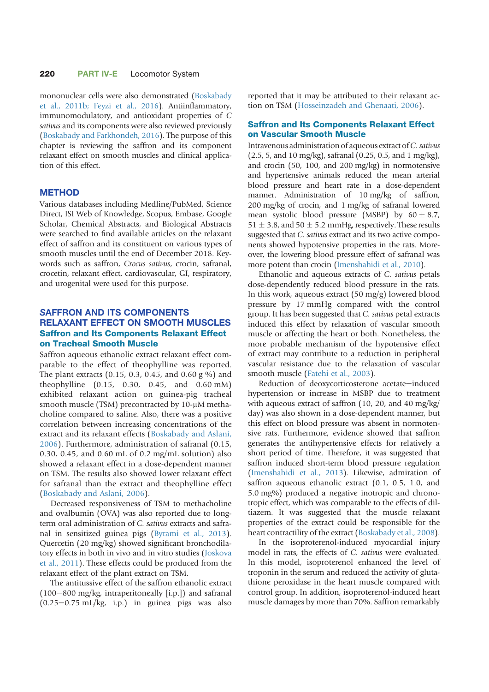mononuclear cells were also demonstrated (Boskabady et al., 2011b; Feyzi et al., 2016). Antiinflammatory, immunomodulatory, and antioxidant properties of C sativus and its components were also reviewed previously (Boskabady and Farkhondeh, 2016). The purpose of this chapter is reviewing the saffron and its component relaxant effect on smooth muscles and clinical application of this effect.

#### **METHOD**

Various databases including Medline/PubMed, Science Direct, ISI Web of Knowledge, Scopus, Embase, Google Scholar, Chemical Abstracts, and Biological Abstracts were searched to find available articles on the relaxant effect of saffron and its constituent on various types of smooth muscles until the end of December 2018. Keywords such as saffron, Crocus sativus, crocin, safranal, crocetin, relaxant effect, cardiovascular, GI, respiratory, and urogenital were used for this purpose.

# SAFFRON AND ITS COMPONENTS RELAXANT EFFECT ON SMOOTH MUSCLES Saffron and Its Components Relaxant Effect on Tracheal Smooth Muscle

Saffron aqueous ethanolic extract relaxant effect comparable to the effect of theophylline was reported. The plant extracts (0.15, 0.3, 0.45, and 0.60 g %) and theophylline (0.15, 0.30, 0.45, and 0.60 mM) exhibited relaxant action on guinea-pig tracheal smooth muscle (TSM) precontracted by  $10$ - $\mu$ M methacholine compared to saline. Also, there was a positive correlation between increasing concentrations of the extract and its relaxant effects (Boskabady and Aslani, 2006). Furthermore, administration of safranal (0.15, 0.30, 0.45, and 0.60 mL of 0.2 mg/mL solution) also showed a relaxant effect in a dose-dependent manner on TSM. The results also showed lower relaxant effect for safranal than the extract and theophylline effect (Boskabady and Aslani, 2006).

Decreased responsiveness of TSM to methacholine and ovalbumin (OVA) was also reported due to longterm oral administration of C. sativus extracts and safranal in sensitized guinea pigs (Byrami et al., 2013). Quercetin (20 mg/kg) showed significant bronchodilatory effects in both in vivo and in vitro studies (Joskova et al., 2011). These effects could be produced from the relaxant effect of the plant extract on TSM.

The antitussive effect of the saffron ethanolic extract  $(100-800 \text{ mg/kg}$ , intraperitoneally [i.p.]) and safranal  $(0.25-0.75 \text{ mL/kg}, \text{ i.p.})$  in guinea pigs was also

reported that it may be attributed to their relaxant action on TSM (Hosseinzadeh and Ghenaati, 2006).

#### Saffron and Its Components Relaxant Effect on Vascular Smooth Muscle

Intravenous administration of aqueous extract ofC. sativus (2.5, 5, and 10 mg/kg), safranal (0.25, 0.5, and 1 mg/kg), and crocin (50, 100, and 200 mg/kg) in normotensive and hypertensive animals reduced the mean arterial blood pressure and heart rate in a dose-dependent manner. Administration of 10 mg/kg of saffron, 200 mg/kg of crocin, and 1 mg/kg of safranal lowered mean systolic blood pressure (MSBP) by  $60 \pm 8.7$ ,  $51 \pm 3.8$ , and  $50 \pm 5.2$  mmHg, respectively. These results suggested that C. sativus extract and its two active components showed hypotensive properties in the rats. Moreover, the lowering blood pressure effect of safranal was more potent than crocin (Imenshahidi et al., 2010).

Ethanolic and aqueous extracts of C. sativus petals dose-dependently reduced blood pressure in the rats. In this work, aqueous extract (50 mg/g) lowered blood pressure by 17 mmHg compared with the control group. It has been suggested that C. sativus petal extracts induced this effect by relaxation of vascular smooth muscle or affecting the heart or both. Nonetheless, the more probable mechanism of the hypotensive effect of extract may contribute to a reduction in peripheral vascular resistance due to the relaxation of vascular smooth muscle (Fatehi et al., 2003).

Reduction of deoxycorticosterone acetate-induced hypertension or increase in MSBP due to treatment with aqueous extract of saffron (10, 20, and 40 mg/kg/ day) was also shown in a dose-dependent manner, but this effect on blood pressure was absent in normotensive rats. Furthermore, evidence showed that saffron generates the antihypertensive effects for relatively a short period of time. Therefore, it was suggested that saffron induced short-term blood pressure regulation (Imenshahidi et al., 2013). Likewise, admiration of saffron aqueous ethanolic extract (0.1, 0.5, 1.0, and 5.0 mg%) produced a negative inotropic and chronotropic effect, which was comparable to the effects of diltiazem. It was suggested that the muscle relaxant properties of the extract could be responsible for the heart contractility of the extract (Boskabady et al., 2008).

In the isoproterenol-induced myocardial injury model in rats, the effects of C. sativus were evaluated. In this model, isoproterenol enhanced the level of troponin in the serum and reduced the activity of glutathione peroxidase in the heart muscle compared with control group. In addition, isoproterenol-induced heart muscle damages by more than 70%. Saffron remarkably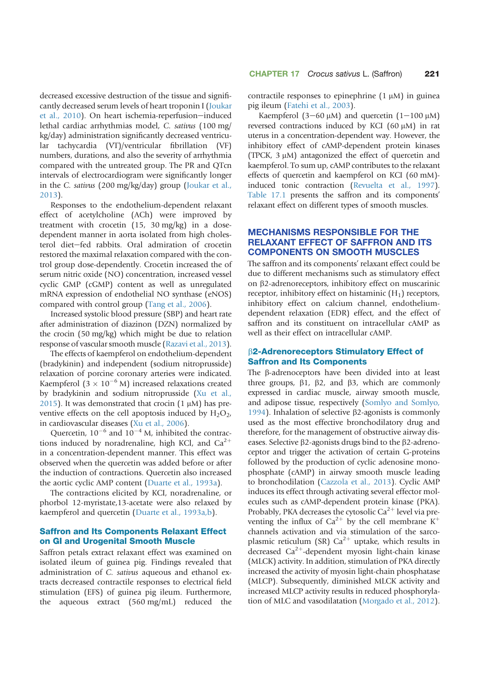decreased excessive destruction of the tissue and significantly decreased serum levels of heart troponin I (Joukar et al., 2010). On heart ischemia-reperfusion-induced lethal cardiac arrhythmias model, C. sativus (100 mg/ kg/day) administration significantly decreased ventricular tachycardia (VT)/ventricular fibrillation (VF) numbers, durations, and also the severity of arrhythmia compared with the untreated group. The PR and QTcn intervals of electrocardiogram were significantly longer in the C. sativus (200 mg/kg/day) group (Joukar et al., 2013).

Responses to the endothelium-dependent relaxant effect of acetylcholine (ACh) were improved by treatment with crocetin (15, 30 mg/kg) in a dosedependent manner in aorta isolated from high cholesterol diet-fed rabbits. Oral admiration of crocetin restored the maximal relaxation compared with the control group dose-dependently. Crocetin increased the of serum nitric oxide (NO) concentration, increased vessel cyclic GMP (cGMP) content as well as unregulated mRNA expression of endothelial NO synthase (eNOS) compared with control group (Tang et al., 2006).

Increased systolic blood pressure (SBP) and heart rate after administration of diazinon (DZN) normalized by the crocin (50 mg/kg) which might be due to relation response of vascular smooth muscle (Razavi et al., 2013).

The effects of kaempferol on endothelium-dependent (bradykinin) and independent (sodium nitroprusside) relaxation of porcine coronary arteries were indicated. Kaempferol ( $3 \times 10^{-6}$  M) increased relaxations created by bradykinin and sodium nitroprusside (Xu et al., 2015). It was demonstrated that crocin  $(1 \mu M)$  has preventive effects on the cell apoptosis induced by  $H_2O_2$ , in cardiovascular diseases (Xu et al., 2006).

Quercetin,  $10^{-6}$  and  $10^{-4}$  M, inhibited the contractions induced by noradrenaline, high KCl, and  $Ca^{2+}$ in a concentration-dependent manner. This effect was observed when the quercetin was added before or after the induction of contractions. Quercetin also increased the aortic cyclic AMP content (Duarte et al., 1993a).

The contractions elicited by KCI, noradrenaline, or phorbol 12-myristate,13-acetate were also relaxed by kaempferol and quercetin (Duarte et al., 1993a,b).

#### Saffron and Its Components Relaxant Effect on GI and Urogenital Smooth Muscle

Saffron petals extract relaxant effect was examined on isolated ileum of guinea pig. Findings revealed that administration of C. sativus aqueous and ethanol extracts decreased contractile responses to electrical field stimulation (EFS) of guinea pig ileum. Furthermore, the aqueous extract (560 mg/mL) reduced the contractile responses to epinephrine  $(1 \mu M)$  in guinear pig ileum (Fatehi et al., 2003).

Kaempferol (3-60  $\mu$ M) and quercetin (1-100  $\mu$ M) reversed contractions induced by KCI  $(60 \mu M)$  in rat uterus in a concentration-dependent way. However, the inhibitory effect of cAMP-dependent protein kinases (TPCK,  $3 \mu M$ ) antagonized the effect of quercetin and kaempferol. To sum up, cAMP contributes to the relaxant effects of quercetin and kaempferol on KCI (60 mM) induced tonic contraction (Revuelta et al., 1997). Table 17.1 presents the saffron and its components' relaxant effect on different types of smooth muscles.

# MECHANISMS RESPONSIBLE FOR THE RELAXANT EFFECT OF SAFFRON AND ITS COMPONENTS ON SMOOTH MUSCLES

The saffron and its components' relaxant effect could be due to different mechanisms such as stimulatory effect on b2-adrenoreceptors, inhibitory effect on muscarinic receptor, inhibitory effect on histaminic  $(H_1)$  receptors, inhibitory effect on calcium channel, endotheliumdependent relaxation (EDR) effect, and the effect of saffron and its constituent on intracellular cAMP as well as their effect on intracellular cAMP.

#### b2-Adrenoreceptors Stimulatory Effect of Saffron and Its Components

The  $\beta$ -adrenoceptors have been divided into at least three groups,  $\beta$ 1,  $\beta$ 2, and  $\beta$ 3, which are commonly expressed in cardiac muscle, airway smooth muscle, and adipose tissue, respectively (Somlyo and Somlyo, 1994). Inhalation of selective  $\beta$ 2-agonists is commonly used as the most effective bronchodilatory drug and therefore, for the management of obstructive airway diseases. Selective  $\beta$ 2-agonists drugs bind to the  $\beta$ 2-adrenoceptor and trigger the activation of certain G-proteins followed by the production of cyclic adenosine monophosphate (cAMP) in airway smooth muscle leading to bronchodilation (Cazzola et al., 2013). Cyclic AMP induces its effect through activating several effector molecules such as cAMP-dependent protein kinase (PKA). Probably, PKA decreases the cytosolic Ca<sup>2+</sup> level via preventing the influx of  $Ca^{2+}$  by the cell membrane K<sup>+</sup> channels activation and via stimulation of the sarcoplasmic reticulum (SR)  $Ca^{2+}$  uptake, which results in decreased  $Ca^{2+}$ -dependent myosin light-chain kinase (MLCK) activity. In addition, stimulation of PKA directly increased the activity of myosin light-chain phosphatase (MLCP). Subsequently, diminished MLCK activity and increased MLCP activity results in reduced phosphorylation of MLC and vasodilatation (Morgado et al., 2012).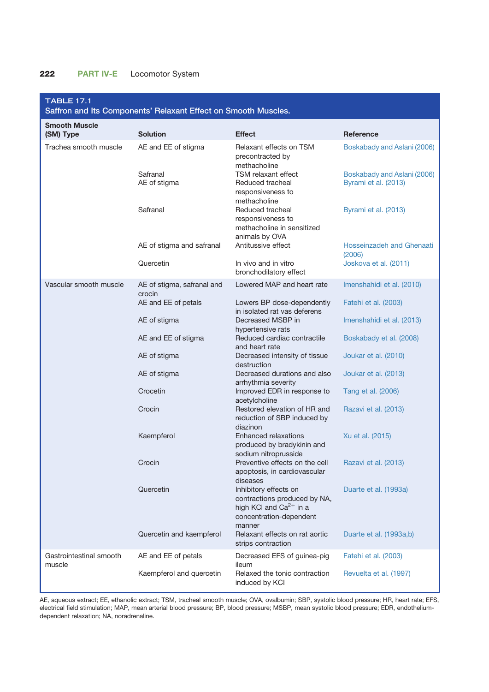# 222 PART IV-E Locomotor System

| <b>TABLE 17.1</b><br>Saffron and Its Components' Relaxant Effect on Smooth Muscles. |                                      |                                                                                                                           |                                                     |  |  |  |  |  |
|-------------------------------------------------------------------------------------|--------------------------------------|---------------------------------------------------------------------------------------------------------------------------|-----------------------------------------------------|--|--|--|--|--|
| <b>Smooth Muscle</b><br>(SM) Type                                                   | <b>Solution</b>                      | <b>Effect</b>                                                                                                             | <b>Reference</b>                                    |  |  |  |  |  |
| Trachea smooth muscle                                                               | AE and EE of stigma                  | Relaxant effects on TSM<br>precontracted by<br>methacholine                                                               | Boskabady and Aslani (2006)                         |  |  |  |  |  |
|                                                                                     | Safranal<br>AE of stigma             | TSM relaxant effect<br>Reduced tracheal<br>responsiveness to<br>methacholine                                              | Boskabady and Aslani (2006)<br>Byrami et al. (2013) |  |  |  |  |  |
|                                                                                     | Safranal                             | Reduced tracheal<br>responsiveness to<br>methacholine in sensitized<br>animals by OVA                                     | Byrami et al. (2013)                                |  |  |  |  |  |
|                                                                                     | AE of stigma and safranal            | Antitussive effect                                                                                                        | <b>Hosseinzadeh and Ghenaati</b><br>(2006)          |  |  |  |  |  |
|                                                                                     | Quercetin                            | In vivo and in vitro<br>bronchodilatory effect                                                                            | Joskova et al. (2011)                               |  |  |  |  |  |
| Vascular smooth muscle                                                              | AE of stigma, safranal and<br>crocin | Lowered MAP and heart rate                                                                                                | Imenshahidi et al. (2010)                           |  |  |  |  |  |
|                                                                                     | AE and EE of petals                  | Lowers BP dose-dependently<br>in isolated rat vas deferens                                                                | Fatehi et al. (2003)                                |  |  |  |  |  |
|                                                                                     | AE of stigma                         | Decreased MSBP in<br>hypertensive rats                                                                                    | Imenshahidi et al. (2013)                           |  |  |  |  |  |
|                                                                                     | AE and EE of stigma                  | Reduced cardiac contractile<br>and heart rate                                                                             | Boskabady et al. (2008)                             |  |  |  |  |  |
|                                                                                     | AE of stigma                         | Decreased intensity of tissue<br>destruction                                                                              | Joukar et al. (2010)                                |  |  |  |  |  |
|                                                                                     | AE of stigma                         | Decreased durations and also<br>arrhythmia severity                                                                       | Joukar et al. (2013)                                |  |  |  |  |  |
|                                                                                     | Crocetin                             | Improved EDR in response to<br>acetylcholine                                                                              | Tang et al. (2006)                                  |  |  |  |  |  |
|                                                                                     | Crocin                               | Restored elevation of HR and<br>reduction of SBP induced by<br>diazinon                                                   | Razavi et al. (2013)                                |  |  |  |  |  |
|                                                                                     | Kaempferol                           | <b>Enhanced relaxations</b><br>produced by bradykinin and<br>sodium nitroprusside                                         | Xu et al. (2015)                                    |  |  |  |  |  |
|                                                                                     | Crocin                               | Preventive effects on the cell<br>apoptosis, in cardiovascular<br>diseases                                                | Razavi et al. (2013)                                |  |  |  |  |  |
|                                                                                     | Quercetin                            | Inhibitory effects on<br>contractions produced by NA,<br>high KCI and $Ca^{2+}$ in a<br>concentration-dependent<br>manner | Duarte et al. (1993a)                               |  |  |  |  |  |
|                                                                                     | Quercetin and kaempferol             | Relaxant effects on rat aortic<br>strips contraction                                                                      | Duarte et al. (1993a,b)                             |  |  |  |  |  |
| Gastrointestinal smooth<br>muscle                                                   | AE and EE of petals                  | Decreased EFS of guinea-pig<br>ileum                                                                                      | Fatehi et al. (2003)                                |  |  |  |  |  |
|                                                                                     | Kaempferol and quercetin             | Relaxed the tonic contraction<br>induced by KCI                                                                           | Revuelta et al. (1997)                              |  |  |  |  |  |

AE, aqueous extract; EE, ethanolic extract; TSM, tracheal smooth muscle; OVA, ovalbumin; SBP, systolic blood pressure; HR, heart rate; EFS, electrical field stimulation; MAP, mean arterial blood pressure; BP, blood pressure; MSBP, mean systolic blood pressure; EDR, endotheliumdependent relaxation; NA, noradrenaline.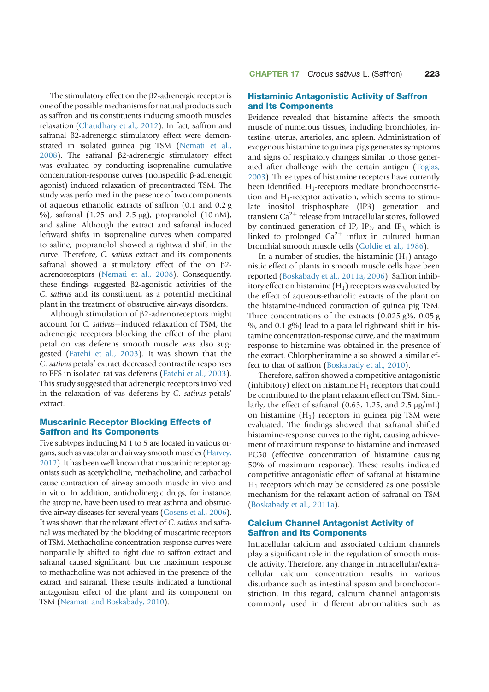The stimulatory effect on the  $\beta$ 2-adrenergic receptor is one of the possible mechanisms for natural products such as saffron and its constituents inducing smooth muscles relaxation (Chaudhary et al., 2012). In fact, saffron and safranal  $\beta$ 2-adrenergic stimulatory effect were demonstrated in isolated guinea pig TSM (Nemati et al., 2008). The safranal  $\beta$ 2-adrenergic stimulatory effect was evaluated by conducting isoprenaline cumulative concentration-response curves (nonspecific  $\beta$ -adrenergic agonist) induced relaxation of precontracted TSM. The study was performed in the presence of two components of aqueous ethanolic extracts of saffron (0.1 and 0.2 g %), safranal  $(1.25 \text{ and } 2.5 \mu\text{g})$ , propranolol  $(10 \text{ nM})$ , and saline. Although the extract and safranal induced leftward shifts in isoprenaline curves when compared to saline, propranolol showed a rightward shift in the curve. Therefore, C. sativus extract and its components safranal showed a stimulatory effect of the on  $\beta$ 2adrenoreceptors (Nemati et al., 2008). Consequently, these findings suggested  $\beta$ 2-agonistic activities of the C. sativus and its constituent, as a potential medicinal plant in the treatment of obstructive airways disorders.

Although stimulation of  $\beta$ 2-adrenoreceptors might account for C. sativus-induced relaxation of TSM, the adrenergic receptors blocking the effect of the plant petal on vas deferens smooth muscle was also suggested (Fatehi et al., 2003). It was shown that the C. sativus petals' extract decreased contractile responses to EFS in isolated rat vas deferens (Fatehi et al., 2003). This study suggested that adrenergic receptors involved in the relaxation of vas deferens by C. sativus petals' extract.

#### Muscarinic Receptor Blocking Effects of Saffron and Its Components

Five subtypes including M 1 to 5 are located in various organs, such as vascular and airway smooth muscles (Harvey, 2012). It has been well known that muscarinic receptor agonists such as acetylcholine, methacholine, and carbachol cause contraction of airway smooth muscle in vivo and in vitro. In addition, anticholinergic drugs, for instance, the atropine, have been used to treat asthma and obstructive airway diseases for several years (Gosens et al., 2006). It was shown that the relaxant effect of C. sativus and safranal was mediated by the blocking of muscarinic receptors of TSM. Methacholine concentration-response curves were nonparallelly shifted to right due to saffron extract and safranal caused significant, but the maximum response to methacholine was not achieved in the presence of the extract and safranal. These results indicated a functional antagonism effect of the plant and its component on TSM (Neamati and Boskabady, 2010).

#### Histaminic Antagonistic Activity of Saffron and Its Components

Evidence revealed that histamine affects the smooth muscle of numerous tissues, including bronchioles, intestine, uterus, arterioles, and spleen. Administration of exogenous histamine to guinea pigs generates symptoms and signs of respiratory changes similar to those generated after challenge with the certain antigen (Togias, 2003). Three types of histamine receptors have currently been identified. H1-receptors mediate bronchoconstriction and  $H_1$ -receptor activation, which seems to stimulate inositol trisphosphate (IP3) generation and transient Ca<sup>2+</sup> release from intracellular stores, followed by continued generation of IP, IP<sub>2</sub>, and IP<sub>3</sub>, which is linked to prolonged  $Ca^{2+}$  influx in cultured human bronchial smooth muscle cells (Goldie et al., 1986).

In a number of studies, the histaminic  $(H_1)$  antagonistic effect of plants in smooth muscle cells have been reported (Boskabady et al., 2011a, 2006). Saffron inhibitory effect on histamine  $(H_1)$  receptors was evaluated by the effect of aqueous-ethanolic extracts of the plant on the histamine-induced contraction of guinea pig TSM. Three concentrations of the extracts  $(0.025 \text{ g\%}, 0.05 \text{ g})$ %, and 0.1 g%) lead to a parallel rightward shift in histamine concentration-response curve, and the maximum response to histamine was obtained in the presence of the extract. Chlorpheniramine also showed a similar effect to that of saffron (Boskabady et al., 2010).

Therefore, saffron showed a competitive antagonistic (inhibitory) effect on histamine  $H_1$  receptors that could be contributed to the plant relaxant effect on TSM. Similarly, the effect of safranal  $(0.63, 1.25,$  and  $2.5 \mu g/mL)$ on histamine  $(H_1)$  receptors in guinea pig TSM were evaluated. The findings showed that safranal shifted histamine-response curves to the right, causing achievement of maximum response to histamine and increased EC50 (effective concentration of histamine causing 50% of maximum response). These results indicated competitive antagonistic effect of safranal at histamine  $H_1$  receptors which may be considered as one possible mechanism for the relaxant action of safranal on TSM (Boskabady et al., 2011a).

#### Calcium Channel Antagonist Activity of Saffron and Its Components

Intracellular calcium and associated calcium channels play a significant role in the regulation of smooth muscle activity. Therefore, any change in intracellular/extracellular calcium concentration results in various disturbance such as intestinal spasm and bronchoconstriction. In this regard, calcium channel antagonists commonly used in different abnormalities such as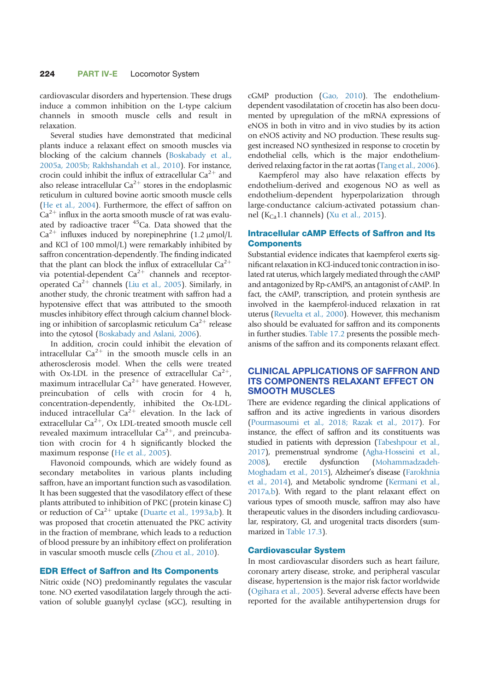cardiovascular disorders and hypertension. These drugs induce a common inhibition on the L-type calcium channels in smooth muscle cells and result in relaxation.

Several studies have demonstrated that medicinal plants induce a relaxant effect on smooth muscles via blocking of the calcium channels (Boskabady et al., 2005a, 2005b; Rakhshandah et al., 2010). For instance, crocin could inhibit the influx of extracellular  $Ca^{2+}$  and also release intracellular  $Ca^{2+}$  stores in the endoplasmic reticulum in cultured bovine aortic smooth muscle cells (He et al., 2004). Furthermore, the effect of saffron on  $Ca^{2+}$  influx in the aorta smooth muscle of rat was evaluated by radioactive tracer <sup>45</sup>Ca. Data showed that the  $Ca^{2+}$  influxes induced by norepinephrine (1.2 µmol/L and KCl of 100 mmol/L) were remarkably inhibited by saffron concentration-dependently. The finding indicated that the plant can block the influx of extracellular  $Ca^{2+}$ via potential-dependent  $Ca^{2+}$  channels and receptoroperated  $Ca^{2+}$  channels (Liu et al., 2005). Similarly, in another study, the chronic treatment with saffron had a hypotensive effect that was attributed to the smooth muscles inhibitory effect through calcium channel blocking or inhibition of sarcoplasmic reticulum  $Ca^{2+}$  release into the cytosol (Boskabady and Aslani, 2006).

In addition, crocin could inhibit the elevation of intracellular  $Ca^{2+}$  in the smooth muscle cells in an atherosclerosis model. When the cells were treated with Ox-LDL in the presence of extracellular  $Ca^{2+}$ , maximum intracellular  $Ca^{2+}$  have generated. However, preincubation of cells with crocin for 4 h, concentration-dependently, inhibited the Ox-LDLinduced intracellular  $Ca^{2+}$  elevation. In the lack of extracellular  $Ca^{2+}$ , Ox LDL-treated smooth muscle cell revealed maximum intracellular  $Ca^{2+}$ , and preincubation with crocin for 4 h significantly blocked the maximum response (He et al., 2005).

Flavonoid compounds, which are widely found as secondary metabolites in various plants including saffron, have an important function such as vasodilation. It has been suggested that the vasodilatory effect of these plants attributed to inhibition of PKC (protein kinase C) or reduction of  $Ca^{2+}$  uptake (Duarte et al., 1993a,b). It was proposed that crocetin attenuated the PKC activity in the fraction of membrane, which leads to a reduction of blood pressure by an inhibitory effect on proliferation in vascular smooth muscle cells (Zhou et al., 2010).

#### EDR Effect of Saffron and Its Components

Nitric oxide (NO) predominantly regulates the vascular tone. NO exerted vasodilatation largely through the activation of soluble guanylyl cyclase (sGC), resulting in

cGMP production (Gao, 2010). The endotheliumdependent vasodilatation of crocetin has also been documented by upregulation of the mRNA expressions of eNOS in both in vitro and in vivo studies by its action on eNOS activity and NO production. These results suggest increased NO synthesized in response to crocetin by endothelial cells, which is the major endotheliumderived relaxing factor in the rat aortas (Tang et al., 2006).

Kaempferol may also have relaxation effects by endothelium-derived and exogenous NO as well as endothelium-dependent hyperpolarization through large-conductance calcium-activated potassium channel ( $K_{Ca}$ 1.1 channels) (Xu et al., 2015).

# Intracellular cAMP Effects of Saffron and Its **Components**

Substantial evidence indicates that kaempferol exerts significant relaxation in KCl-induced tonic contraction in isolated rat uterus, which largely mediated through the cAMP and antagonized by Rp-cAMPS, an antagonist of cAMP. In fact, the cAMP, transcription, and protein synthesis are involved in the kaempferol-induced relaxation in rat uterus (Revuelta et al., 2000). However, this mechanism also should be evaluated for saffron and its components in further studies. Table 17.2 presents the possible mechanisms of the saffron and its components relaxant effect.

# CLINICAL APPLICATIONS OF SAFFRON AND ITS COMPONENTS RELAXANT EFFECT ON SMOOTH MUSCLES

There are evidence regarding the clinical applications of saffron and its active ingredients in various disorders (Pourmasoumi et al., 2018; Razak et al., 2017). For instance, the effect of saffron and its constituents was studied in patients with depression (Tabeshpour et al., 2017), premenstrual syndrome (Agha-Hosseini et al., 2008), erectile dysfunction (Mohammadzadeh-Moghadam et al., 2015), Alzheimer's disease (Farokhnia et al., 2014), and Metabolic syndrome (Kermani et al., 2017a,b). With regard to the plant relaxant effect on various types of smooth muscle, saffron may also have therapeutic values in the disorders including cardiovascular, respiratory, GI, and urogenital tracts disorders (summarized in Table 17.3).

#### Cardiovascular System

In most cardiovascular disorders such as heart failure, coronary artery disease, stroke, and peripheral vascular disease, hypertension is the major risk factor worldwide (Ogihara et al., 2005). Several adverse effects have been reported for the available antihypertension drugs for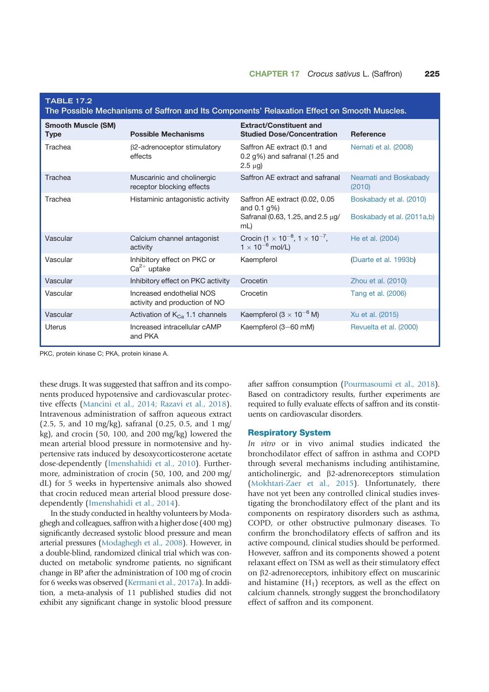| <b>TABLE 17.2</b><br>The Possible Mechanisms of Saffron and Its Components' Relaxation Effect on Smooth Muscles. |                                                            |                                                                                                  |                                                       |  |  |  |  |  |
|------------------------------------------------------------------------------------------------------------------|------------------------------------------------------------|--------------------------------------------------------------------------------------------------|-------------------------------------------------------|--|--|--|--|--|
| <b>Smooth Muscle (SM)</b><br><b>Type</b>                                                                         | <b>Possible Mechanisms</b>                                 | <b>Extract/Constituent and</b><br><b>Studied Dose/Concentration</b>                              | <b>Reference</b>                                      |  |  |  |  |  |
| Trachea                                                                                                          | <b>B2-adrenoceptor stimulatory</b><br>effects              | Saffron AE extract (0.1 and<br>$0.2$ g%) and safranal (1.25 and<br>$2.5 \mu g$ )                 | Nemati et al. (2008)                                  |  |  |  |  |  |
| Trachea                                                                                                          | Muscarinic and cholinergic<br>receptor blocking effects    | Saffron AE extract and safranal                                                                  | Neamati and Boskabady<br>(2010)                       |  |  |  |  |  |
| Trachea                                                                                                          | Histaminic antagonistic activity                           | Saffron AE extract (0.02, 0.05<br>and $0.1$ q%)<br>Safranal (0.63, 1.25, and $2.5 \mu q$ )<br>mL | Boskabady et al. (2010)<br>Boskabady et al. (2011a,b) |  |  |  |  |  |
| Vascular                                                                                                         | Calcium channel antagonist<br>activity                     | Crocin (1 $\times$ 10 <sup>-8</sup> , 1 $\times$ 10 <sup>-7</sup> ,<br>$1 \times 10^{-6}$ mol/L) | He et al. (2004)                                      |  |  |  |  |  |
| Vascular                                                                                                         | Inhibitory effect on PKC or<br>$Ca2+$ uptake               | Kaempferol                                                                                       | (Duarte et al. 1993b)                                 |  |  |  |  |  |
| Vascular                                                                                                         | Inhibitory effect on PKC activity                          | Crocetin                                                                                         | Zhou et al. (2010)                                    |  |  |  |  |  |
| Vascular                                                                                                         | Increased endothelial NOS<br>activity and production of NO | Crocetin                                                                                         | Tang et al. (2006)                                    |  |  |  |  |  |
| Vascular                                                                                                         | Activation of $K_{Ca}$ 1.1 channels                        | Kaempferol ( $3 \times 10^{-6}$ M)                                                               | Xu et al. (2015)                                      |  |  |  |  |  |
| <b>Uterus</b>                                                                                                    | Increased intracellular cAMP<br>and PKA                    | Kaempferol (3-60 mM)                                                                             | Revuelta et al. (2000)                                |  |  |  |  |  |

PKC, protein kinase C; PKA, protein kinase A.

these drugs. It was suggested that saffron and its components produced hypotensive and cardiovascular protective effects (Mancini et al., 2014; Razavi et al., 2018). Intravenous administration of saffron aqueous extract (2.5, 5, and 10 mg/kg), safranal (0.25, 0.5, and 1 mg/ kg), and crocin (50, 100, and 200 mg/kg) lowered the mean arterial blood pressure in normotensive and hypertensive rats induced by desoxycorticosterone acetate dose-dependently (Imenshahidi et al., 2010). Furthermore, administration of crocin (50, 100, and 200 mg/ dL) for 5 weeks in hypertensive animals also showed that crocin reduced mean arterial blood pressure dosedependently (Imenshahidi et al., 2014).

In the study conducted in healthy volunteers by Modaghegh and colleagues, saffron with a higher dose (400 mg) significantly decreased systolic blood pressure and mean arterial pressures (Modaghegh et al., 2008). However, in a double-blind, randomized clinical trial which was conducted on metabolic syndrome patients, no significant change in BP after the administration of 100 mg of crocin for 6 weeks was observed (Kermani et al., 2017a). In addition, a meta-analysis of 11 published studies did not exhibit any significant change in systolic blood pressure

after saffron consumption (Pourmasoumi et al., 2018). Based on contradictory results, further experiments are required to fully evaluate effects of saffron and its constituents on cardiovascular disorders.

#### Respiratory System

In vitro or in vivo animal studies indicated the bronchodilator effect of saffron in asthma and COPD through several mechanisms including antihistamine, anticholinergic, and  $\beta$ 2-adrenoreceptors stimulation (Mokhtari-Zaer et al., 2015). Unfortunately, there have not yet been any controlled clinical studies investigating the bronchodilatory effect of the plant and its components on respiratory disorders such as asthma, COPD, or other obstructive pulmonary diseases. To confirm the bronchodilatory effects of saffron and its active compound, clinical studies should be performed. However, saffron and its components showed a potent relaxant effect on TSM as well as their stimulatory effect on b2-adrenoreceptors, inhibitory effect on muscarinic and histamine  $(H_1)$  receptors, as well as the effect on calcium channels, strongly suggest the bronchodilatory effect of saffron and its component.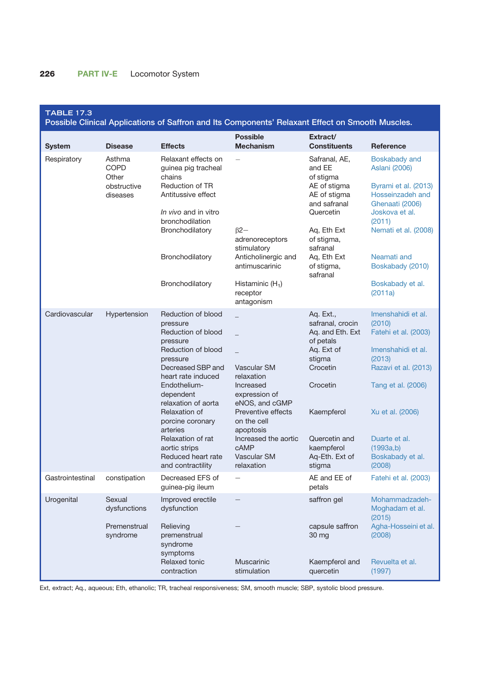| <b>TABLE 17.3</b><br>Possible Clinical Applications of Saffron and Its Components' Relaxant Effect on Smooth Muscles. |                                                           |                                                                                                                                                                                                                                                                                                                                     |                                                                                                                                                                                                      |                                                                                                                                                                                         |                                                                                                                                                                                                                    |  |  |
|-----------------------------------------------------------------------------------------------------------------------|-----------------------------------------------------------|-------------------------------------------------------------------------------------------------------------------------------------------------------------------------------------------------------------------------------------------------------------------------------------------------------------------------------------|------------------------------------------------------------------------------------------------------------------------------------------------------------------------------------------------------|-----------------------------------------------------------------------------------------------------------------------------------------------------------------------------------------|--------------------------------------------------------------------------------------------------------------------------------------------------------------------------------------------------------------------|--|--|
| <b>System</b>                                                                                                         | <b>Disease</b>                                            | <b>Effects</b>                                                                                                                                                                                                                                                                                                                      | <b>Possible</b><br><b>Mechanism</b>                                                                                                                                                                  | Extract/<br><b>Constituents</b>                                                                                                                                                         | <b>Reference</b>                                                                                                                                                                                                   |  |  |
| Respiratory                                                                                                           | Asthma<br><b>COPD</b><br>Other<br>obstructive<br>diseases | Relaxant effects on<br>guinea pig tracheal<br>chains<br>Reduction of TR<br>Antitussive effect<br>In vivo and in vitro<br>bronchodilation                                                                                                                                                                                            |                                                                                                                                                                                                      | Safranal, AE,<br>and EE<br>of stigma<br>AE of stigma<br>AE of stigma<br>and safranal<br>Quercetin                                                                                       | Boskabady and<br><b>Aslani</b> (2006)<br>Byrami et al. (2013)<br>Hosseinzadeh and<br>Ghenaati (2006)<br>Joskova et al.<br>(2011)                                                                                   |  |  |
|                                                                                                                       |                                                           | Bronchodilatory                                                                                                                                                                                                                                                                                                                     | $\beta$ <sup>2</sup><br>adrenoreceptors<br>stimulatory                                                                                                                                               | Aq, Eth Ext<br>of stigma,<br>safranal                                                                                                                                                   | Nemati et al. (2008)                                                                                                                                                                                               |  |  |
|                                                                                                                       |                                                           | Bronchodilatory                                                                                                                                                                                                                                                                                                                     | Anticholinergic and<br>antimuscarinic                                                                                                                                                                | Aq, Eth Ext<br>of stigma,<br>safranal                                                                                                                                                   | Neamati and<br>Boskabady (2010)                                                                                                                                                                                    |  |  |
|                                                                                                                       |                                                           | Bronchodilatory                                                                                                                                                                                                                                                                                                                     | Histaminic $(H_1)$<br>receptor<br>antagonism                                                                                                                                                         |                                                                                                                                                                                         | Boskabady et al.<br>(2011a)                                                                                                                                                                                        |  |  |
| Cardiovascular                                                                                                        | Hypertension                                              | Reduction of blood<br>pressure<br>Reduction of blood<br>pressure<br>Reduction of blood<br>pressure<br>Decreased SBP and<br>heart rate induced<br>Endothelium-<br>dependent<br>relaxation of aorta<br>Relaxation of<br>porcine coronary<br>arteries<br>Relaxation of rat<br>aortic strips<br>Reduced heart rate<br>and contractility | $\equiv$<br>Vascular SM<br>relaxation<br>Increased<br>expression of<br>eNOS, and cGMP<br>Preventive effects<br>on the cell<br>apoptosis<br>Increased the aortic<br>cAMP<br>Vascular SM<br>relaxation | Aq. Ext.,<br>safranal, crocin<br>Aq. and Eth. Ext<br>of petals<br>Aq. Ext of<br>stigma<br>Crocetin<br>Crocetin<br>Kaempferol<br>Quercetin and<br>kaempferol<br>Aq-Eth. Ext of<br>stigma | Imenshahidi et al.<br>(2010)<br>Fatehi et al. (2003)<br>Imenshahidi et al.<br>(2013)<br>Razavi et al. (2013)<br>Tang et al. (2006)<br>Xu et al. (2006)<br>Duarte et al.<br>(1993a,b)<br>Boskabady et al.<br>(2008) |  |  |
| Gastrointestinal                                                                                                      | constipation                                              | Decreased EFS of<br>guinea-pig ileum                                                                                                                                                                                                                                                                                                |                                                                                                                                                                                                      | AE and EE of<br>petals                                                                                                                                                                  | Fatehi et al. (2003)                                                                                                                                                                                               |  |  |
| Urogenital                                                                                                            | Sexual<br>dysfunctions<br>Premenstrual<br>syndrome        | Improved erectile<br>dysfunction<br>Relieving<br>premenstrual                                                                                                                                                                                                                                                                       |                                                                                                                                                                                                      | saffron gel<br>capsule saffron<br>30 mg                                                                                                                                                 | Mohammadzadeh-<br>Moghadam et al.<br>(2015)<br>Agha-Hosseini et al.<br>(2008)                                                                                                                                      |  |  |
|                                                                                                                       |                                                           | syndrome<br>symptoms<br>Relaxed tonic<br>contraction                                                                                                                                                                                                                                                                                | Muscarinic<br>stimulation                                                                                                                                                                            | Kaempferol and<br>quercetin                                                                                                                                                             | Revuelta et al.<br>(1997)                                                                                                                                                                                          |  |  |

Ext, extract; Aq., aqueous; Eth, ethanolic; TR, tracheal responsiveness; SM, smooth muscle; SBP, systolic blood pressure.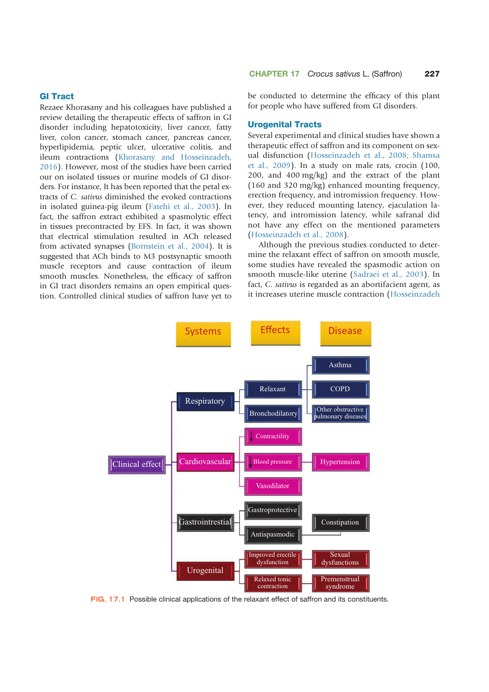#### GI Tract

Rezaee Khorasany and his colleagues have published a review detailing the therapeutic effects of saffron in GI disorder including hepatotoxicity, liver cancer, fatty liver, colon cancer, stomach cancer, pancreas cancer, hyperlipidemia, peptic ulcer, ulcerative colitis, and ileum contractions (Khorasany and Hosseinzadeh, 2016). However, most of the studies have been carried our on isolated tissues or murine models of GI disorders. For instance, It has been reported that the petal extracts of C. sativus diminished the evoked contractions in isolated guinea-pig ileum (Fatehi et al., 2003). In fact, the saffron extract exhibited a spasmolytic effect in tissues precontracted by EFS. In fact, it was shown that electrical stimulation resulted in ACh released from activated synapses (Bornstein et al., 2004). It is suggested that ACh binds to M3 postsynaptic smooth muscle receptors and cause contraction of ileum smooth muscles. Nonetheless, the efficacy of saffron in GI tract disorders remains an open empirical question. Controlled clinical studies of saffron have yet to

CHAPTER 17 Crocus sativus L. (Saffron) 227

be conducted to determine the efficacy of this plant for people who have suffered from GI disorders.

#### Urogenital Tracts

Several experimental and clinical studies have shown a therapeutic effect of saffron and its component on sexual disfunction (Hosseinzadeh et al., 2008; Shamsa et al., 2009). In a study on male rats, crocin (100, 200, and 400 mg/kg) and the extract of the plant (160 and 320 mg/kg) enhanced mounting frequency, erection frequency, and intromission frequency. However, they reduced mounting latency, ejaculation latency, and intromission latency, while safranal did not have any effect on the mentioned parameters (Hosseinzadeh et al., 2008).

Although the previous studies conducted to determine the relaxant effect of saffron on smooth muscle, some studies have revealed the spasmodic action on smooth muscle-like uterine (Sadraei et al., 2003). In fact, C. sativus is regarded as an abortifacient agent, as it increases uterine muscle contraction (Hosseinzadeh



FIG. 17.1 Possible clinical applications of the relaxant effect of saffron and its constituents.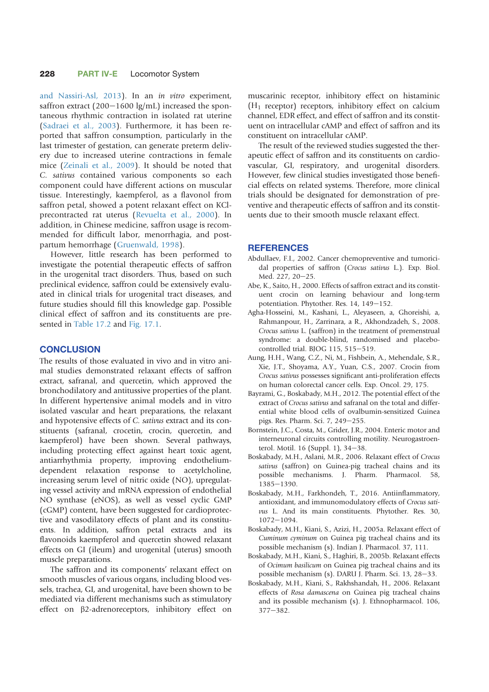and Nassiri-Asl, 2013). In an in vitro experiment, saffron extract  $(200-1600 \text{ kg/mL})$  increased the spontaneous rhythmic contraction in isolated rat uterine (Sadraei et al., 2003). Furthermore, it has been reported that saffron consumption, particularly in the last trimester of gestation, can generate preterm delivery due to increased uterine contractions in female mice (Zeinali et al., 2009). It should be noted that C. sativus contained various components so each component could have different actions on muscular tissue. Interestingly, kaempferol, as a flavonol from saffron petal, showed a potent relaxant effect on KClprecontracted rat uterus (Revuelta et al., 2000). In addition, in Chinese medicine, saffron usage is recommended for difficult labor, menorrhagia, and postpartum hemorrhage (Gruenwald, 1998).

However, little research has been performed to investigate the potential therapeutic effects of saffron in the urogenital tract disorders. Thus, based on such preclinical evidence, saffron could be extensively evaluated in clinical trials for urogenital tract diseases, and future studies should fill this knowledge gap. Possible clinical effect of saffron and its constituents are presented in Table 17.2 and Fig. 17.1.

#### **CONCLUSION**

The results of those evaluated in vivo and in vitro animal studies demonstrated relaxant effects of saffron extract, safranal, and quercetin, which approved the bronchodilatory and antitussive properties of the plant. In different hypertensive animal models and in vitro isolated vascular and heart preparations, the relaxant and hypotensive effects of C. sativus extract and its constituents (safranal, crocetin, crocin, quercetin, and kaempferol) have been shown. Several pathways, including protecting effect against heart toxic agent, antiarrhythmia property, improving endotheliumdependent relaxation response to acetylcholine, increasing serum level of nitric oxide (NO), upregulating vessel activity and mRNA expression of endothelial NO synthase (eNOS), as well as vessel cyclic GMP (cGMP) content, have been suggested for cardioprotective and vasodilatory effects of plant and its constituents. In addition, saffron petal extracts and its flavonoids kaempferol and quercetin showed relaxant effects on GI (ileum) and urogenital (uterus) smooth muscle preparations.

The saffron and its components' relaxant effect on smooth muscles of various organs, including blood vessels, trachea, GI, and urogenital, have been shown to be mediated via different mechanisms such as stimulatory effect on b2-adrenoreceptors, inhibitory effect on

muscarinic receptor, inhibitory effect on histaminic  $(H_1 \text{ receptor})$  receptors, inhibitory effect on calcium channel, EDR effect, and effect of saffron and its constituent on intracellular cAMP and effect of saffron and its constituent on intracellular cAMP.

The result of the reviewed studies suggested the therapeutic effect of saffron and its constituents on cardiovascular, GI, respiratory, and urogenital disorders. However, few clinical studies investigated those beneficial effects on related systems. Therefore, more clinical trials should be designated for demonstration of preventive and therapeutic effects of saffron and its constituents due to their smooth muscle relaxant effect.

#### **REFERENCES**

- Abdullaev, F.I., 2002. Cancer chemopreventive and tumoricidal properties of saffron (Crocus sativus L.). Exp. Biol. Med. 227, 20-25.
- Abe, K., Saito, H., 2000. Effects of saffron extract and its constituent crocin on learning behaviour and long-term potentiation. Phytother. Res. 14, 149-152.
- Agha-Hosseini, M., Kashani, L., Aleyaseen, a, Ghoreishi, a, Rahmanpour, H., Zarrinara, a R., Akhondzadeh, S., 2008. Crocus sativus L. (saffron) in the treatment of premenstrual syndrome: a double-blind, randomised and placebocontrolled trial. BJOG  $115$ ,  $515-519$ .
- Aung, H.H., Wang, C.Z., Ni, M., Fishbein, A., Mehendale, S.R., Xie, J.T., Shoyama, A.Y., Yuan, C.S., 2007. Crocin from Crocus sativus possesses significant anti-proliferation effects on human colorectal cancer cells. Exp. Oncol. 29, 175.
- Bayrami, G., Boskabady, M.H., 2012. The potential effect of the extract of Crocus sativus and safranal on the total and differential white blood cells of ovalbumin-sensitized Guinea pigs. Res. Pharm. Sci. 7, 249-255.
- Bornstein, J.C., Costa, M., Grider, J.R., 2004. Enteric motor and interneuronal circuits controlling motility. Neurogastroenterol. Motil.  $16$  (Suppl.  $1$ ),  $34-38$ .
- Boskabady, M.H., Aslani, M.R., 2006. Relaxant effect of Crocus sativus (saffron) on Guinea-pig tracheal chains and its possible mechanisms. J. Pharm. Pharmacol. 58,  $1385 - 1390.$
- Boskabady, M.H., Farkhondeh, T., 2016. Antiinflammatory, antioxidant, and immunomodulatory effects of Crocus sativus L. And its main constituents. Phytother. Res. 30,  $1072 - 1094$ .
- Boskabady, M.H., Kiani, S., Azizi, H., 2005a. Relaxant effect of Cuminum cyminum on Guinea pig tracheal chains and its possible mechanism (s). Indian J. Pharmacol. 37, 111.
- Boskabady, M.H., Kiani, S., Haghiri, B., 2005b. Relaxant effects of Ocimum basilicum on Guinea pig tracheal chains and its possible mechanism  $(s)$ . DARU J. Pharm. Sci. 13, 28–33.
- Boskabady, M.H., Kiani, S., Rakhshandah, H., 2006. Relaxant effects of Rosa damascena on Guinea pig tracheal chains and its possible mechanism (s). J. Ethnopharmacol. 106,  $377 - 382$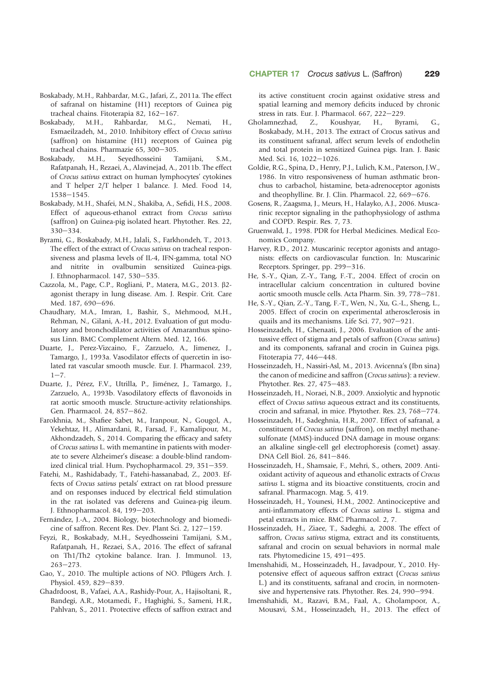- Boskabady, M.H., Rahbardar, M.G., Jafari, Z., 2011a. The effect of safranal on histamine (H1) receptors of Guinea pig tracheal chains. Fitoterapia 82,  $162-167$ .
- Boskabady, M.H., Rahbardar, M.G., Nemati, H., Esmaeilzadeh, M., 2010. Inhibitory effect of Crocus sativus (saffron) on histamine (H1) receptors of Guinea pig tracheal chains. Pharmazie 65, 300-305.
- Boskabady, M.H., Seyedhosseini Tamijani, S.M., Rafatpanah, H., Rezaei, A., Alavinejad, A., 2011b. The effect of Crocus sativus extract on human lymphocytes' cytokines and T helper 2/T helper 1 balance. J. Med. Food 14, 1538e1545.
- Boskabady, M.H., Shafei, M.N., Shakiba, A., Sefidi, H.S., 2008. Effect of aqueous-ethanol extract from Crocus sativus (saffron) on Guinea-pig isolated heart. Phytother. Res. 22,  $330 - 334$
- Byrami, G., Boskabady, M.H., Jalali, S., Farkhondeh, T., 2013. The effect of the extract of Crocus sativus on tracheal responsiveness and plasma levels of IL-4, IFN-gamma, total NO and nitrite in ovalbumin sensitized Guinea-pigs. J. Ethnopharmacol. 147, 530-535.
- Cazzola, M., Page, C.P., Rogliani, P., Matera, M.G., 2013. b2 agonist therapy in lung disease. Am. J. Respir. Crit. Care Med. 187, 690-696.
- Chaudhary, M.A., Imran, I., Bashir, S., Mehmood, M.H., Rehman, N., Gilani, A.-H., 2012. Evaluation of gut modulatory and bronchodilator activities of Amaranthus spinosus Linn. BMC Complement Altern. Med. 12, 166.
- Duarte, J., Perez-Vizcaino, F., Zarzuelo, A., Jimenez, J., Tamargo, J., 1993a. Vasodilator effects of quercetin in isolated rat vascular smooth muscle. Eur. J. Pharmacol. 239,  $1 - 7$
- Duarte, J., Pérez, F.V., Utrilla, P., Jiménez, J., Tamargo, J., Zarzuelo, A., 1993b. Vasodilatory effects of flavonoids in rat aortic smooth muscle. Structure-activity relationships. Gen. Pharmacol. 24, 857-862.
- Farokhnia, M., Shafiee Sabet, M., Iranpour, N., Gougol, A., Yekehtaz, H., Alimardani, R., Farsad, F., Kamalipour, M., Akhondzadeh, S., 2014. Comparing the efficacy and safety of Crocus sativus L. with memantine in patients with moderate to severe Alzheimer's disease: a double-blind randomized clinical trial. Hum. Psychopharmacol. 29, 351-359.
- Fatehi, M., Rashidabady, T., Fatehi-hassanabad, Z., 2003. Effects of Crocus sativus petals' extract on rat blood pressure and on responses induced by electrical field stimulation in the rat isolated vas deferens and Guinea-pig ileum. J. Ethnopharmacol. 84,  $199-203$ .
- Fernández, J.-A., 2004. Biology, biotechnology and biomedicine of saffron. Recent Res. Dev. Plant Sci. 2,  $127-159$ .
- Feyzi, R., Boskabady, M.H., Seyedhosseini Tamijani, S.M., Rafatpanah, H., Rezaei, S.A., 2016. The effect of safranal on Th1/Th2 cytokine balance. Iran. J. Immunol. 13,  $263 - 273$ .
- Gao, Y., 2010. The multiple actions of NO. Pflügers Arch. J. Physiol. 459, 829-839.
- Ghadrdoost, B., Vafaei, A.A., Rashidy-Pour, A., Hajisoltani, R., Bandegi, A.R., Motamedi, F., Haghighi, S., Sameni, H.R., Pahlvan, S., 2011. Protective effects of saffron extract and

its active constituent crocin against oxidative stress and spatial learning and memory deficits induced by chronic stress in rats. Eur. J. Pharmacol.  $667$ ,  $222-229$ .

- Gholamnezhad, Z., Koushyar, H., Byrami, G., Boskabady, M.H., 2013. The extract of Crocus sativus and its constituent safranal, affect serum levels of endothelin and total protein in sensitized Guinea pigs. Iran. J. Basic Med. Sci. 16, 1022-1026.
- Goldie, R.G., Spina, D., Henry, P.J., Lulich, K.M., Paterson, J.W., 1986. In vitro responsiveness of human asthmatic bronchus to carbachol, histamine, beta-adrenoceptor agonists and theophylline. Br. J. Clin. Pharmacol.  $22, 669 - 676$ .
- Gosens, R., Zaagsma, J., Meurs, H., Halayko, A.J., 2006. Muscarinic receptor signaling in the pathophysiology of asthma and COPD. Respir. Res. 7, 73.
- Gruenwald, J., 1998. PDR for Herbal Medicines. Medical Economics Company.
- Harvey, R.D., 2012. Muscarinic receptor agonists and antagonists: effects on cardiovascular function. In: Muscarinic Receptors. Springer, pp. 299-316.
- He, S.-Y., Qian, Z.-Y., Tang, F.-T., 2004. Effect of crocin on intracellular calcium concentration in cultured bovine aortic smooth muscle cells. Acta Pharm. Sin. 39, 778-781.
- He, S.-Y., Qian, Z.-Y., Tang, F.-T., Wen, N., Xu, G.-L., Sheng, L., 2005. Effect of crocin on experimental atherosclerosis in quails and its mechanisms. Life Sci. 77, 907-921.
- Hosseinzadeh, H., Ghenaati, J., 2006. Evaluation of the antitussive effect of stigma and petals of saffron (Crocus sativus) and its components, safranal and crocin in Guinea pigs. Fitoterapia 77, 446-448.
- Hosseinzadeh, H., Nassiri-Asl, M., 2013. Avicenna's (Ibn sina) the canon of medicine and saffron (Crocus sativus): a review. Phytother. Res. 27, 475-483.
- Hosseinzadeh, H., Noraei, N.B., 2009. Anxiolytic and hypnotic effect of Crocus sativus aqueous extract and its constituents, crocin and safranal, in mice. Phytother. Res. 23, 768-774.
- Hosseinzadeh, H., Sadeghnia, H.R., 2007. Effect of safranal, a constituent of Crocus sativus (saffron), on methyl methanesulfonate (MMS)-induced DNA damage in mouse organs: an alkaline single-cell gel electrophoresis (comet) assay. DNA Cell Biol. 26, 841-846.
- Hosseinzadeh, H., Shamsaie, F., Mehri, S., others, 2009. Antioxidant activity of aqueous and ethanolic extracts of Crocus sativus L. stigma and its bioactive constituents, crocin and safranal. Pharmacogn. Mag. 5, 419.
- Hosseinzadeh, H., Younesi, H.M., 2002. Antinociceptive and anti-inflammatory effects of Crocus sativus L. stigma and petal extracts in mice. BMC Pharmacol. 2, 7.
- Hosseinzadeh, H., Ziaee, T., Sadeghi, a, 2008. The effect of saffron, Crocus sativus stigma, extract and its constituents, safranal and crocin on sexual behaviors in normal male rats. Phytomedicine  $15, 491-495$ .
- Imenshahidi, M., Hosseinzadeh, H., Javadpour, Y., 2010. Hypotensive effect of aqueous saffron extract (Crocus sativus L.) and its constituents, safranal and crocin, in normotensive and hypertensive rats. Phytother. Res. 24, 990-994.
- Imenshahidi, M., Razavi, B.M., Faal, A., Gholampoor, A., Mousavi, S.M., Hosseinzadeh, H., 2013. The effect of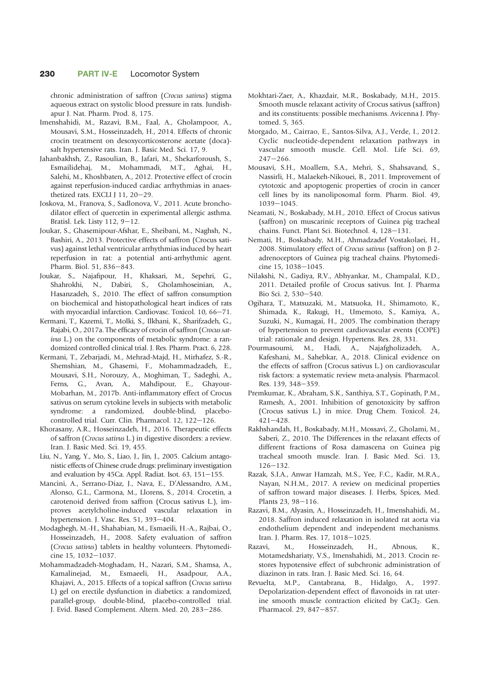#### 230 PART IV-E Locomotor System

chronic administration of saffron (Crocus sativus) stigma aqueous extract on systolic blood pressure in rats. Jundishapur J. Nat. Pharm. Prod. 8, 175.

- Imenshahidi, M., Razavi, B.M., Faal, A., Gholampoor, A., Mousavi, S.M., Hosseinzadeh, H., 2014. Effects of chronic crocin treatment on desoxycorticosterone acetate (doca) salt hypertensive rats. Iran. J. Basic Med. Sci. 17, 9.
- Jahanbakhsh, Z., Rasoulian, B., Jafari, M., Shekarforoush, S., Esmailidehaj, M., Mohammadi, M.T., Aghai, H., Salehi, M., Khoshbaten, A., 2012. Protective effect of crocin against reperfusion-induced cardiac arrhythmias in anaesthetized rats. EXCLI  $J$  11, 20-29.
- Joskova, M., Franova, S., Sadlonova, V., 2011. Acute bronchodilator effect of quercetin in experimental allergic asthma. Bratisl. Lek. Listy  $112.9 - 12$ .
- Joukar, S., Ghasemipour-Afshar, E., Sheibani, M., Naghsh, N., Bashiri, A., 2013. Protective effects of saffron (Crocus sativus) against lethal ventricular arrhythmias induced by heart reperfusion in rat: a potential anti-arrhythmic agent. Pharm. Biol. 51, 836-843.
- Joukar, S., Najafipour, H., Khaksari, M., Sepehri, G., Shahrokhi, N., Dabiri, S., Gholamhoseinian, A., Hasanzadeh, S., 2010. The effect of saffron consumption on biochemical and histopathological heart indices of rats with myocardial infarction. Cardiovasc. Toxicol. 10, 66-71.
- Kermani, T., Kazemi, T., Molki, S., Ilkhani, K., Sharifzadeh, G., Rajabi, O., 2017a. The efficacy of crocin of saffron (Crocus sativus L.) on the components of metabolic syndrome: a randomized controlled clinical trial. J. Res. Pharm. Pract. 6, 228.
- Kermani, T., Zebarjadi, M., Mehrad-Majd, H., Mirhafez, S.-R., Shemshian, M., Ghasemi, F., Mohammadzadeh, E., Mousavi, S.H., Norouzy, A., Moghiman, T., Sadeghi, A., Ferns, G., Avan, A., Mahdipour, E., Ghayour-Mobarhan, M., 2017b. Anti-inflammatory effect of Crocus sativus on serum cytokine levels in subjects with metabolic syndrome: a randomized, double-blind, placebocontrolled trial. Curr. Clin. Pharmacol. 12, 122-126.
- Khorasany, A.R., Hosseinzadeh, H., 2016. Therapeutic effects of saffron (Crocus sativus L.) in digestive disorders: a review. Iran. J. Basic Med. Sci. 19, 455.
- Liu, N., Yang, Y., Mo, S., Liao, J., Jin, J., 2005. Calcium antagonistic effects of Chinese crude drugs: preliminary investigation and evaluation by 45Ca. Appl. Radiat. Isot.  $63$ ,  $151-155$ .
- Mancini, A., Serrano-Diaz, J., Nava, E., D'Alessandro, A.M., Alonso, G.L., Carmona, M., Llorens, S., 2014. Crocetin, a carotenoid derived from saffron (Crocus sativus L.), improves acetylcholine-induced vascular relaxation in hypertension. J. Vasc. Res.  $51, 393-404$ .
- Modaghegh, M.-H., Shahabian, M., Esmaeili, H.-A., Rajbai, O., Hosseinzadeh, H., 2008. Safety evaluation of saffron (Crocus sativus) tablets in healthy volunteers. Phytomedicine 15, 1032-1037.
- Mohammadzadeh-Moghadam, H., Nazari, S.M., Shamsa, A., Kamalinejad, M., Esmaeeli, H., Asadpour, A.A., Khajavi, A., 2015. Effects of a topical saffron (Crocus sativus L) gel on erectile dysfunction in diabetics: a randomized, parallel-group, double-blind, placebo-controlled trial. J. Evid. Based Complement. Altern. Med. 20, 283-286.
- Mokhtari-Zaer, A., Khazdair, M.R., Boskabady, M.H., 2015. Smooth muscle relaxant activity of Crocus sativus (saffron) and its constituents: possible mechanisms. Avicenna J. Phytomed. 5, 365.
- Morgado, M., Cairrao, E., Santos-Silva, A.J., Verde, I., 2012. Cyclic nucleotide-dependent relaxation pathways in vascular smooth muscle. Cell. Mol. Life Sci. 69,  $247 - 266$ .
- Mousavi, S.H., Moallem, S.A., Mehri, S., Shahsavand, S., Nassirli, H., Malaekeh-Nikouei, B., 2011. Improvement of cytotoxic and apoptogenic properties of crocin in cancer cell lines by its nanoliposomal form. Pharm. Biol. 49,  $1039 - 1045$ .
- Neamati, N., Boskabady, M.H., 2010. Effect of Crocus sativus (saffron) on muscarinic receptors of Guinea pig tracheal chains. Funct. Plant Sci. Biotechnol. 4, 128-131.
- Nemati, H., Boskabady, M.H., Ahmadzadef Vostakolaei, H., 2008. Stimulatory effect of Crocus sativus (saffron) on  $\beta$  2adrenoceptors of Guinea pig tracheal chains. Phytomedicine 15, 1038-1045.
- Nilakshi, N., Gadiya, R.V., Abhyankar, M., Champalal, K.D., 2011. Detailed profile of Crocus sativus. Int. J. Pharma Bio Sci. 2, 530-540.
- Ogihara, T., Matsuzaki, M., Matsuoka, H., Shimamoto, K., Shimada, K., Rakugi, H., Umemoto, S., Kamiya, A., Suzuki, N., Kumagai, H., 2005. The combination therapy of hypertension to prevent cardiovascular events (COPE) trial: rationale and design. Hypertens. Res. 28, 331.
- Pourmasoumi, M., Hadi, A., Najafgholizadeh, A., Kafeshani, M., Sahebkar, A., 2018. Clinical evidence on the effects of saffron (Crocus sativus L.) on cardiovascular risk factors: a systematic review meta-analysis. Pharmacol. Res. 139, 348-359.
- Premkumar, K., Abraham, S.K., Santhiya, S.T., Gopinath, P.M., Ramesh, A., 2001. Inhibition of genotoxicity by saffron (Crocus sativus L.) in mice. Drug Chem. Toxicol. 24,  $421 - 428$ .
- Rakhshandah, H., Boskabady, M.H., Mossavi, Z., Gholami, M., Saberi, Z., 2010. The Differences in the relaxant effects of different fractions of Rosa damascena on Guinea pig tracheal smooth muscle. Iran. J. Basic Med. Sci. 13,  $126 - 132$
- Razak, S.I.A., Anwar Hamzah, M.S., Yee, F.C., Kadir, M.R.A., Nayan, N.H.M., 2017. A review on medicinal properties of saffron toward major diseases. J. Herbs, Spices, Med. Plants 23, 98-116.
- Razavi, B.M., Alyasin, A., Hosseinzadeh, H., Imenshahidi, M., 2018. Saffron induced relaxation in isolated rat aorta via endothelium dependent and independent mechanisms. Iran. J. Pharm. Res. 17, 1018-1025.
- Razavi, M., Hosseinzadeh, H., Abnous, K., Motamedshariaty, V.S., Imenshahidi, M., 2013. Crocin restores hypotensive effect of subchronic administration of diazinon in rats. Iran. J. Basic Med. Sci. 16, 64.
- Revuelta, M.P., Cantabrana, B., Hidalgo, A., 1997. Depolarization-dependent effect of flavonoids in rat uterine smooth muscle contraction elicited by CaCl<sub>2</sub>. Gen. Pharmacol. 29, 847-857.